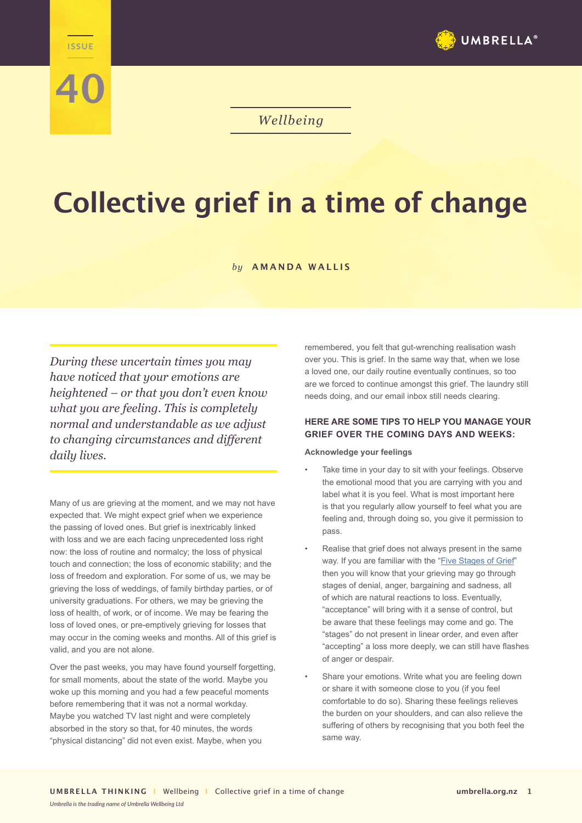

**40**

# *Wellbeing*

# **Collective grief in a time of change**

## *by* **AMANDA WALLIS**

*During these uncertain times you may have noticed that your emotions are heightened – or that you don't even know what you are feeling. This is completely normal and understandable as we adjust to changing circumstances and different daily lives.*

Many of us are grieving at the moment, and we may not have expected that. We might expect grief when we experience the passing of loved ones. But grief is inextricably linked with loss and we are each facing unprecedented loss right now: the loss of routine and normalcy; the loss of physical touch and connection; the loss of economic stability; and the loss of freedom and exploration. For some of us, we may be grieving the loss of weddings, of family birthday parties, or of university graduations. For others, we may be grieving the loss of health, of work, or of income. We may be fearing the loss of loved ones, or pre-emptively grieving for losses that may occur in the coming weeks and months. All of this grief is valid, and you are not alone.

Over the past weeks, you may have found yourself forgetting, for small moments, about the state of the world. Maybe you woke up this morning and you had a few peaceful moments before remembering that it was not a normal workday. Maybe you watched TV last night and were completely absorbed in the story so that, for 40 minutes, the words "physical distancing" did not even exist. Maybe, when you

remembered, you felt that gut-wrenching realisation wash over you. This is grief. In the same way that, when we lose a loved one, our daily routine eventually continues, so too are we forced to continue amongst this grief. The laundry still needs doing, and our email inbox still needs clearing.

# **HERE ARE SOME TIPS TO HELP YOU MANAGE YOUR GRIEF OVER THE COMING DAYS AND WEEKS:**

#### **Acknowledge your feelings**

- Take time in your day to sit with your feelings. Observe the emotional mood that you are carrying with you and label what it is you feel. What is most important here is that you regularly allow yourself to feel what you are feeling and, through doing so, you give it permission to pass.
- Realise that grief does not always present in the same way. If you are familiar with the "Five Stages of Grief" then you will know that your grieving may go through stages of denial, anger, bargaining and sadness, all of which are natural reactions to loss. Eventually, "acceptance" will bring with it a sense of control, but be aware that these feelings may come and go. The "stages" do not present in linear order, and even after "accepting" a loss more deeply, we can still have flashes of anger or despair.
- Share your emotions. Write what you are feeling down or share it with someone close to you (if you feel comfortable to do so). Sharing these feelings relieves the burden on your shoulders, and can also relieve the suffering of others by recognising that you both feel the same way.